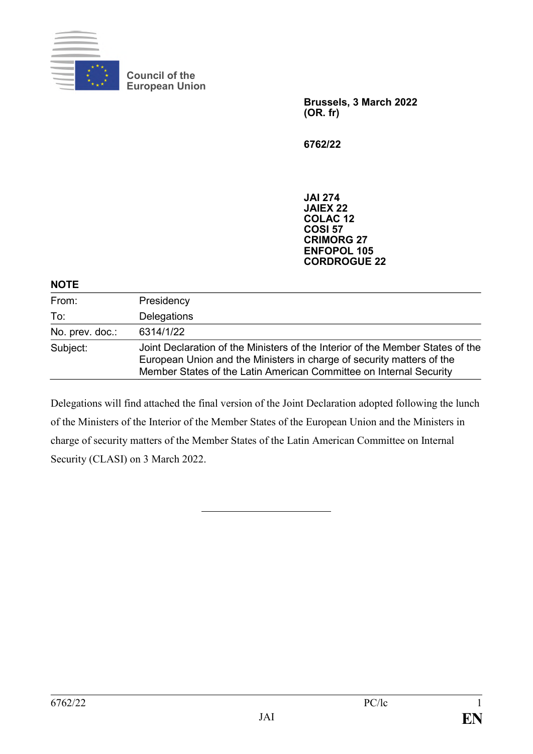

**Council of the European Union**

> **Brussels, 3 March 2022 (OR. fr)**

**6762/22**

**JAI 274 JAIEX 22 COLAC 12 COSI 57 CRIMORG 27 ENFOPOL 105 CORDROGUE 22**

## **NOTE**

| .               |                                                                                                                                                                                                                               |
|-----------------|-------------------------------------------------------------------------------------------------------------------------------------------------------------------------------------------------------------------------------|
| From:           | Presidency                                                                                                                                                                                                                    |
| To:             | Delegations                                                                                                                                                                                                                   |
| No. prev. doc.: | 6314/1/22                                                                                                                                                                                                                     |
| Subject:        | Joint Declaration of the Ministers of the Interior of the Member States of the<br>European Union and the Ministers in charge of security matters of the<br>Member States of the Latin American Committee on Internal Security |

Delegations will find attached the final version of the Joint Declaration adopted following the lunch of the Ministers of the Interior of the Member States of the European Union and the Ministers in charge of security matters of the Member States of the Latin American Committee on Internal Security (CLASI) on 3 March 2022.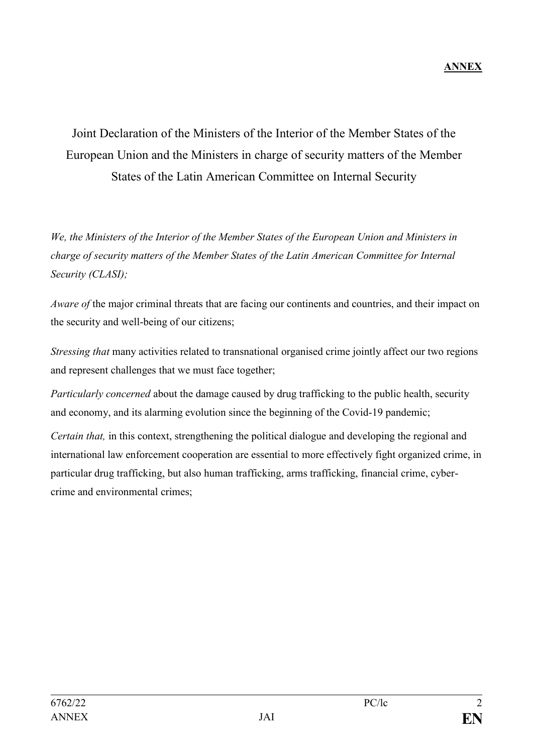Joint Declaration of the Ministers of the Interior of the Member States of the European Union and the Ministers in charge of security matters of the Member States of the Latin American Committee on Internal Security

*We, the Ministers of the Interior of the Member States of the European Union and Ministers in charge of security matters of the Member States of the Latin American Committee for Internal Security (CLASI);*

*Aware of the major criminal threats that are facing our continents and countries, and their impact on* the security and well-being of our citizens;

*Stressing that* many activities related to transnational organised crime jointly affect our two regions and represent challenges that we must face together;

*Particularly concerned* about the damage caused by drug trafficking to the public health, security and economy, and its alarming evolution since the beginning of the Covid-19 pandemic;

*Certain that,* in this context, strengthening the political dialogue and developing the regional and international law enforcement cooperation are essential to more effectively fight organized crime, in particular drug trafficking, but also human trafficking, arms trafficking, financial crime, cybercrime and environmental crimes;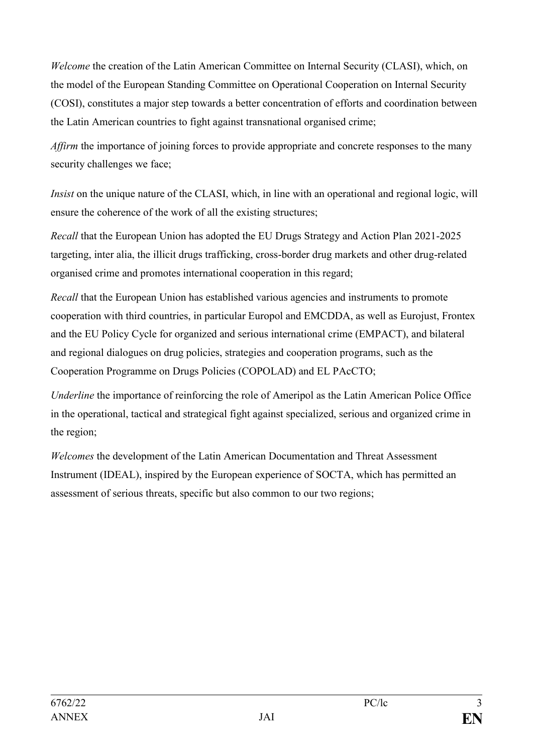*Welcome* the creation of the Latin American Committee on Internal Security (CLASI), which, on the model of the European Standing Committee on Operational Cooperation on Internal Security (COSI), constitutes a major step towards a better concentration of efforts and coordination between the Latin American countries to fight against transnational organised crime;

*Affirm* the importance of joining forces to provide appropriate and concrete responses to the many security challenges we face;

*Insist* on the unique nature of the CLASI, which, in line with an operational and regional logic, will ensure the coherence of the work of all the existing structures;

*Recall* that the European Union has adopted the EU Drugs Strategy and Action Plan 2021-2025 targeting, inter alia, the illicit drugs trafficking, cross-border drug markets and other drug-related organised crime and promotes international cooperation in this regard;

*Recall* that the European Union has established various agencies and instruments to promote cooperation with third countries, in particular Europol and EMCDDA, as well as Eurojust, Frontex and the EU Policy Cycle for organized and serious international crime (EMPACT), and bilateral and regional dialogues on drug policies, strategies and cooperation programs, such as the Cooperation Programme on Drugs Policies (COPOLAD) and EL PAcCTO;

*Underline* the importance of reinforcing the role of Ameripol as the Latin American Police Office in the operational, tactical and strategical fight against specialized, serious and organized crime in the region;

*Welcomes* the development of the Latin American Documentation and Threat Assessment Instrument (IDEAL), inspired by the European experience of SOCTA, which has permitted an assessment of serious threats, specific but also common to our two regions;